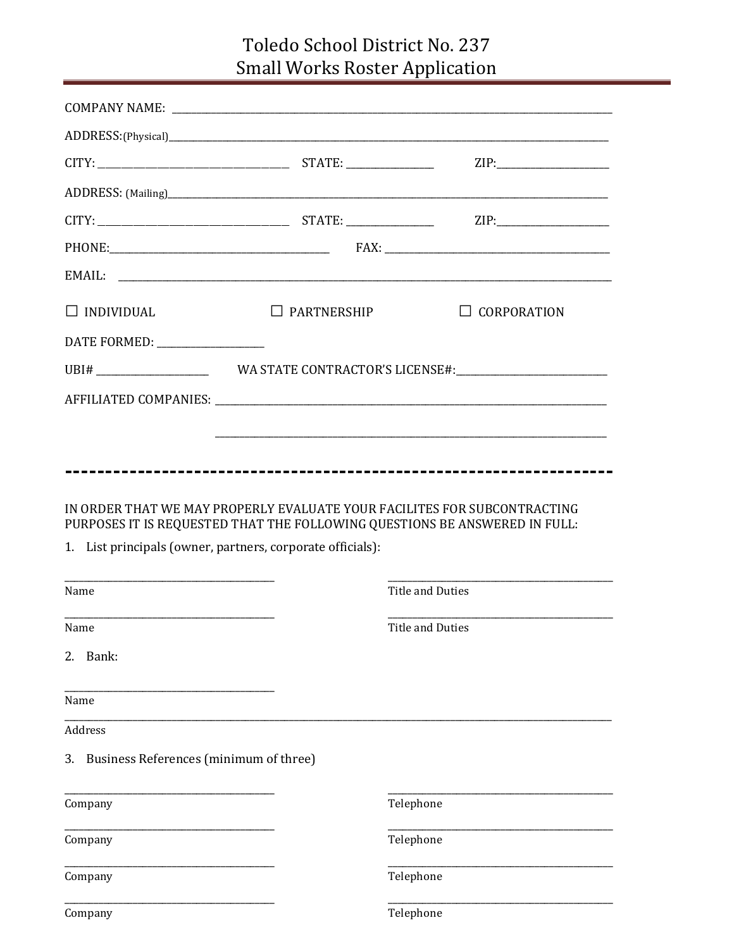## Toledo School District No. 237 **Small Works Roster Application**

|                                                                                                                                                                                                                                |                                                            | ZIP:                                                                             |
|--------------------------------------------------------------------------------------------------------------------------------------------------------------------------------------------------------------------------------|------------------------------------------------------------|----------------------------------------------------------------------------------|
|                                                                                                                                                                                                                                |                                                            |                                                                                  |
|                                                                                                                                                                                                                                |                                                            |                                                                                  |
|                                                                                                                                                                                                                                |                                                            |                                                                                  |
|                                                                                                                                                                                                                                |                                                            |                                                                                  |
| $\Box$ INDIVIDUAL                                                                                                                                                                                                              | $\Box$ PARTNERSHIP                                         | $\Box$ CORPORATION                                                               |
| DATE FORMED: __________________                                                                                                                                                                                                |                                                            |                                                                                  |
|                                                                                                                                                                                                                                |                                                            |                                                                                  |
|                                                                                                                                                                                                                                |                                                            |                                                                                  |
|                                                                                                                                                                                                                                |                                                            | ,我们也不会有什么。""我们的人,我们也不会有什么?""我们的人,我们也不会有什么?""我们的人,我们也不会有什么?""我们的人,我们也不会有什么?""我们的人 |
| <u> 2000 - 2000 - 2000 - 2000 - 2000 - 2000 - 2000 - 2000 - 2000 - 2000 - 2000 - 2000 - 2000 - 2000 - 2000 - 200</u><br>Name                                                                                                   | 1. List principals (owner, partners, corporate officials): | <b>Title and Duties</b>                                                          |
| Name and the state of the state of the state of the state of the state of the state of the state of the state of the state of the state of the state of the state of the state of the state of the state of the state of the s |                                                            | Title and Duties                                                                 |
| 2. Bank:                                                                                                                                                                                                                       |                                                            |                                                                                  |
| Name                                                                                                                                                                                                                           |                                                            |                                                                                  |
| Address                                                                                                                                                                                                                        |                                                            |                                                                                  |
| 3. Business References (minimum of three)                                                                                                                                                                                      |                                                            |                                                                                  |
| Company                                                                                                                                                                                                                        |                                                            |                                                                                  |
| Company                                                                                                                                                                                                                        |                                                            | Telephone                                                                        |
| Company                                                                                                                                                                                                                        |                                                            | Telephone                                                                        |
|                                                                                                                                                                                                                                |                                                            | Telephone                                                                        |